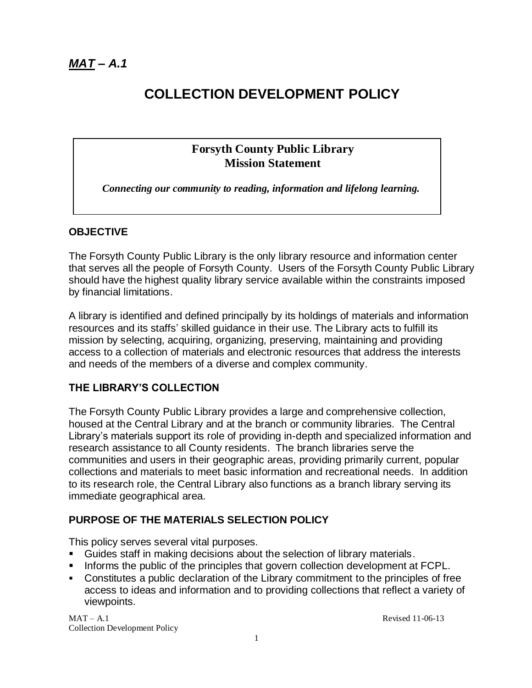# **COLLECTION DEVELOPMENT POLICY**

### **Forsyth County Public Library Mission Statement**

*Connecting our community to reading, information and lifelong learning.*

### **OBJECTIVE**

The Forsyth County Public Library is the only library resource and information center that serves all the people of Forsyth County. Users of the Forsyth County Public Library should have the highest quality library service available within the constraints imposed by financial limitations.

A library is identified and defined principally by its holdings of materials and information resources and its staffs' skilled guidance in their use. The Library acts to fulfill its mission by selecting, acquiring, organizing, preserving, maintaining and providing access to a collection of materials and electronic resources that address the interests and needs of the members of a diverse and complex community.

### **THE LIBRARY'S COLLECTION**

The Forsyth County Public Library provides a large and comprehensive collection, housed at the Central Library and at the branch or community libraries. The Central Library's materials support its role of providing in-depth and specialized information and research assistance to all County residents. The branch libraries serve the communities and users in their geographic areas, providing primarily current, popular collections and materials to meet basic information and recreational needs. In addition to its research role, the Central Library also functions as a branch library serving its immediate geographical area.

### **PURPOSE OF THE MATERIALS SELECTION POLICY**

This policy serves several vital purposes.

- Guides staff in making decisions about the selection of library materials.
- Informs the public of the principles that govern collection development at FCPL.
- Constitutes a public declaration of the Library commitment to the principles of free access to ideas and information and to providing collections that reflect a variety of viewpoints.

 $MAT - A.1$  Revised 11-06-13 Collection Development Policy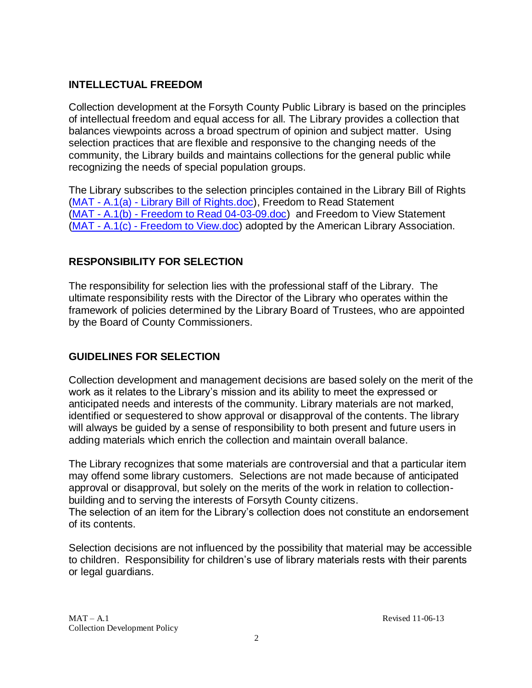### **INTELLECTUAL FREEDOM**

Collection development at the Forsyth County Public Library is based on the principles of intellectual freedom and equal access for all. The Library provides a collection that balances viewpoints across a broad spectrum of opinion and subject matter. Using selection practices that are flexible and responsive to the changing needs of the community, the Library builds and maintains collections for the general public while recognizing the needs of special population groups.

The Library subscribes to the selection principles contained in the Library Bill of Rights (MAT - A.1(a) - [Library Bill of Rights.doc\)](MAT%20-%20A.1(a)%20-%20Library%20Bill%20of%20Rights.doc), Freedom to Read Statement (MAT - A.1(b) - [Freedom to Read 04-03-09.doc\)](MAT%20-%20A.1(b)%20-%20Freedom%20to%20Read%2004-03-09.doc) and Freedom to View Statement (MAT - A.1(c) - [Freedom to View.doc\)](MAT%20-%20A.1(c)%20-%20Freedom%20to%20View.doc) adopted by the American Library Association.

## **RESPONSIBILITY FOR SELECTION**

The responsibility for selection lies with the professional staff of the Library. The ultimate responsibility rests with the Director of the Library who operates within the framework of policies determined by the Library Board of Trustees, who are appointed by the Board of County Commissioners.

## **GUIDELINES FOR SELECTION**

Collection development and management decisions are based solely on the merit of the work as it relates to the Library's mission and its ability to meet the expressed or anticipated needs and interests of the community. Library materials are not marked, identified or sequestered to show approval or disapproval of the contents. The library will always be guided by a sense of responsibility to both present and future users in adding materials which enrich the collection and maintain overall balance.

The Library recognizes that some materials are controversial and that a particular item may offend some library customers. Selections are not made because of anticipated approval or disapproval, but solely on the merits of the work in relation to collectionbuilding and to serving the interests of Forsyth County citizens.

The selection of an item for the Library's collection does not constitute an endorsement of its contents.

Selection decisions are not influenced by the possibility that material may be accessible to children. Responsibility for children's use of library materials rests with their parents or legal guardians.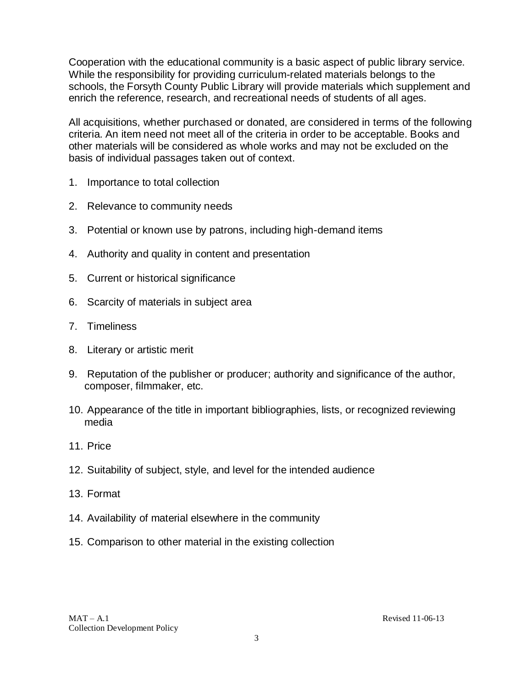Cooperation with the educational community is a basic aspect of public library service. While the responsibility for providing curriculum-related materials belongs to the schools, the Forsyth County Public Library will provide materials which supplement and enrich the reference, research, and recreational needs of students of all ages.

All acquisitions, whether purchased or donated, are considered in terms of the following criteria. An item need not meet all of the criteria in order to be acceptable. Books and other materials will be considered as whole works and may not be excluded on the basis of individual passages taken out of context.

- 1. Importance to total collection
- 2. Relevance to community needs
- 3. Potential or known use by patrons, including high-demand items
- 4. Authority and quality in content and presentation
- 5. Current or historical significance
- 6. Scarcity of materials in subject area
- 7. Timeliness
- 8. Literary or artistic merit
- 9. Reputation of the publisher or producer; authority and significance of the author, composer, filmmaker, etc.
- 10. Appearance of the title in important bibliographies, lists, or recognized reviewing media
- 11. Price
- 12. Suitability of subject, style, and level for the intended audience
- 13. Format
- 14. Availability of material elsewhere in the community
- 15. Comparison to other material in the existing collection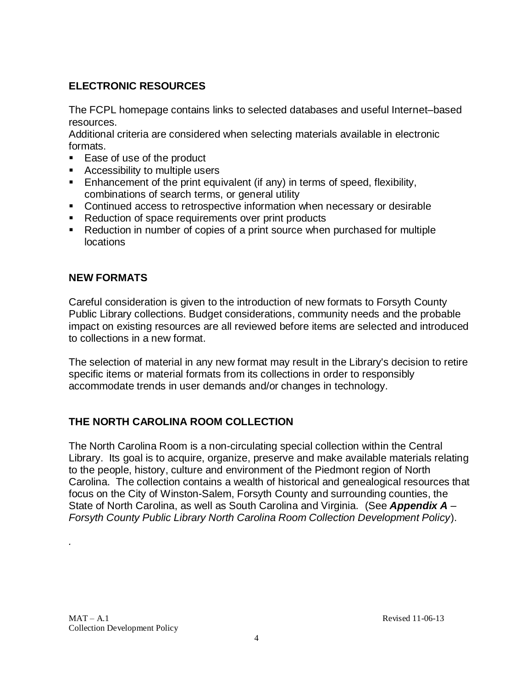# **ELECTRONIC RESOURCES**

The FCPL homepage contains links to selected databases and useful Internet–based resources.

Additional criteria are considered when selecting materials available in electronic formats.

- Ease of use of the product
- Accessibility to multiple users
- **Enhancement of the print equivalent (if any) in terms of speed, flexibility,** combinations of search terms, or general utility
- Continued access to retrospective information when necessary or desirable
- Reduction of space requirements over print products
- Reduction in number of copies of a print source when purchased for multiple locations

### **NEW FORMATS**

Careful consideration is given to the introduction of new formats to Forsyth County Public Library collections. Budget considerations, community needs and the probable impact on existing resources are all reviewed before items are selected and introduced to collections in a new format.

The selection of material in any new format may result in the Library's decision to retire specific items or material formats from its collections in order to responsibly accommodate trends in user demands and/or changes in technology.

## **THE NORTH CAROLINA ROOM COLLECTION**

The North Carolina Room is a non-circulating special collection within the Central Library. Its goal is to acquire, organize, preserve and make available materials relating to the people, history, culture and environment of the Piedmont region of North Carolina. The collection contains a wealth of historical and genealogical resources that focus on the City of Winston-Salem, Forsyth County and surrounding counties, the State of North Carolina, as well as South Carolina and Virginia. (See *Appendix A – Forsyth County Public Library North Carolina Room Collection Development Policy*).

*.*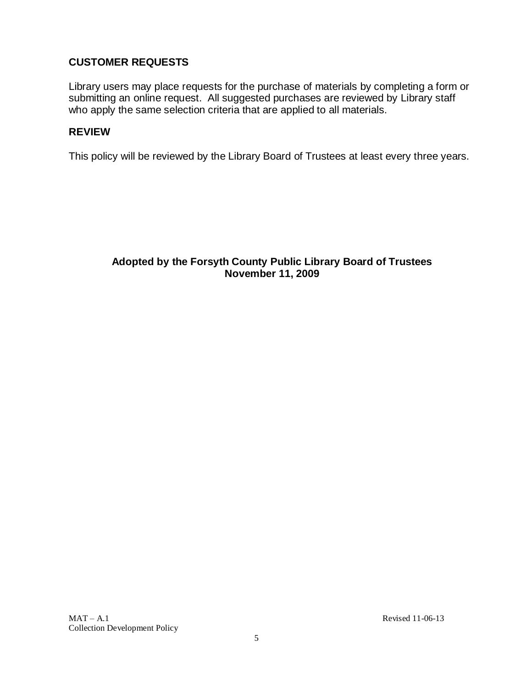### **CUSTOMER REQUESTS**

Library users may place requests for the purchase of materials by completing a form or submitting an online request. All suggested purchases are reviewed by Library staff who apply the same selection criteria that are applied to all materials.

### **REVIEW**

This policy will be reviewed by the Library Board of Trustees at least every three years.

### **Adopted by the Forsyth County Public Library Board of Trustees November 11, 2009**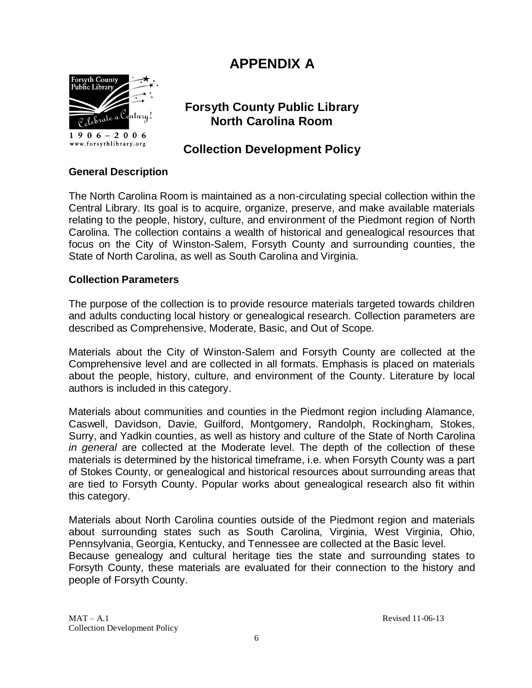# **APPENDIX A**



 $1906 - 2006$ www.forsythlibrary.org

# **Forsyth County Public Library North Carolina Room**

# **Collection Development Policy**

### **General Description**

The North Carolina Room is maintained as a non-circulating special collection within the Central Library. Its goal is to acquire, organize, preserve, and make available materials relating to the people, history, culture, and environment of the Piedmont region of North Carolina. The collection contains a wealth of historical and genealogical resources that focus on the City of Winston-Salem, Forsyth County and surrounding counties, the State of North Carolina, as well as South Carolina and Virginia.

### **Collection Parameters**

The purpose of the collection is to provide resource materials targeted towards children and adults conducting local history or genealogical research. Collection parameters are described as Comprehensive, Moderate, Basic, and Out of Scope.

Materials about the City of Winston-Salem and Forsyth County are collected at the Comprehensive level and are collected in all formats. Emphasis is placed on materials about the people, history, culture, and environment of the County. Literature by local authors is included in this category.

Materials about communities and counties in the Piedmont region including Alamance, Caswell, Davidson, Davie, Guilford, Montgomery, Randolph, Rockingham, Stokes, Surry, and Yadkin counties, as well as history and culture of the State of North Carolina *in general* are collected at the Moderate level. The depth of the collection of these materials is determined by the historical timeframe, i.e. when Forsyth County was a part of Stokes County, or genealogical and historical resources about surrounding areas that are tied to Forsyth County. Popular works about genealogical research also fit within this category.

Materials about North Carolina counties outside of the Piedmont region and materials about surrounding states such as South Carolina, Virginia, West Virginia, Ohio, Pennsylvania, Georgia, Kentucky, and Tennessee are collected at the Basic level. Because genealogy and cultural heritage ties the state and surrounding states to Forsyth County, these materials are evaluated for their connection to the history and people of Forsyth County.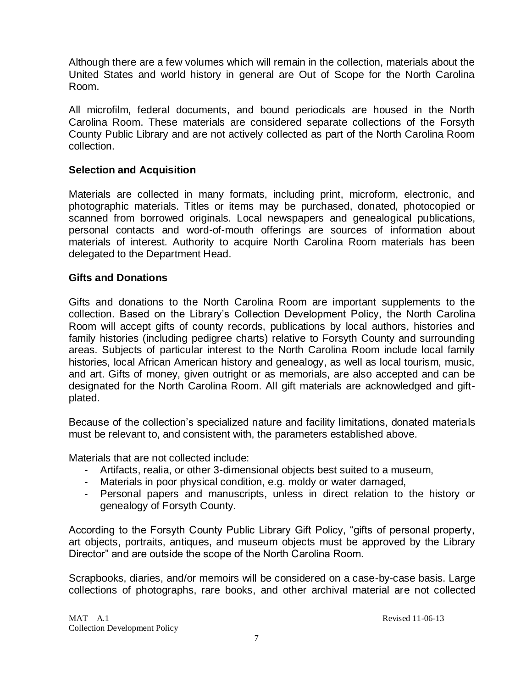Although there are a few volumes which will remain in the collection, materials about the United States and world history in general are Out of Scope for the North Carolina Room.

All microfilm, federal documents, and bound periodicals are housed in the North Carolina Room. These materials are considered separate collections of the Forsyth County Public Library and are not actively collected as part of the North Carolina Room collection.

#### **Selection and Acquisition**

Materials are collected in many formats, including print, microform, electronic, and photographic materials. Titles or items may be purchased, donated, photocopied or scanned from borrowed originals. Local newspapers and genealogical publications, personal contacts and word-of-mouth offerings are sources of information about materials of interest. Authority to acquire North Carolina Room materials has been delegated to the Department Head.

#### **Gifts and Donations**

Gifts and donations to the North Carolina Room are important supplements to the collection. Based on the Library's Collection Development Policy, the North Carolina Room will accept gifts of county records, publications by local authors, histories and family histories (including pedigree charts) relative to Forsyth County and surrounding areas. Subjects of particular interest to the North Carolina Room include local family histories, local African American history and genealogy, as well as local tourism, music, and art. Gifts of money, given outright or as memorials, are also accepted and can be designated for the North Carolina Room. All gift materials are acknowledged and giftplated.

Because of the collection's specialized nature and facility limitations, donated materials must be relevant to, and consistent with, the parameters established above.

Materials that are not collected include:

- Artifacts, realia, or other 3-dimensional objects best suited to a museum,
- Materials in poor physical condition, e.g. moldy or water damaged,
- Personal papers and manuscripts, unless in direct relation to the history or genealogy of Forsyth County.

According to the Forsyth County Public Library Gift Policy, "gifts of personal property, art objects, portraits, antiques, and museum objects must be approved by the Library Director" and are outside the scope of the North Carolina Room.

Scrapbooks, diaries, and/or memoirs will be considered on a case-by-case basis. Large collections of photographs, rare books, and other archival material are not collected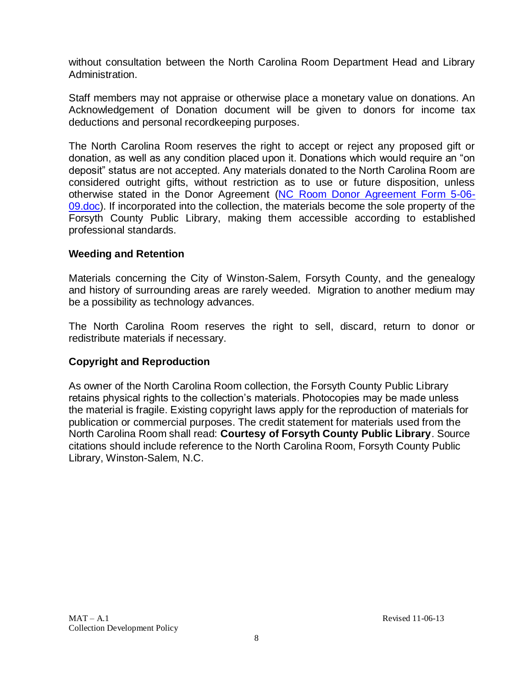without consultation between the North Carolina Room Department Head and Library Administration.

Staff members may not appraise or otherwise place a monetary value on donations. An Acknowledgement of Donation document will be given to donors for income tax deductions and personal recordkeeping purposes.

The North Carolina Room reserves the right to accept or reject any proposed gift or donation, as well as any condition placed upon it. Donations which would require an "on deposit" status are not accepted. Any materials donated to the North Carolina Room are considered outright gifts, without restriction as to use or future disposition, unless otherwise stated in the Donor Agreement [\(NC Room Donor Agreement Form 5-06-](../../../../Administration/WRD/Policy%20&%20Procedure%20Review%20Committee/NC%20Room%20Donor%20Agreement%20Form%205-06-09.doc) [09.doc\)](../../../../Administration/WRD/Policy%20&%20Procedure%20Review%20Committee/NC%20Room%20Donor%20Agreement%20Form%205-06-09.doc). If incorporated into the collection, the materials become the sole property of the Forsyth County Public Library, making them accessible according to established professional standards.

#### **Weeding and Retention**

Materials concerning the City of Winston-Salem, Forsyth County, and the genealogy and history of surrounding areas are rarely weeded. Migration to another medium may be a possibility as technology advances.

The North Carolina Room reserves the right to sell, discard, return to donor or redistribute materials if necessary.

#### **Copyright and Reproduction**

As owner of the North Carolina Room collection, the Forsyth County Public Library retains physical rights to the collection's materials. Photocopies may be made unless the material is fragile. Existing copyright laws apply for the reproduction of materials for publication or commercial purposes. The credit statement for materials used from the North Carolina Room shall read: **Courtesy of Forsyth County Public Library**. Source citations should include reference to the North Carolina Room, Forsyth County Public Library, Winston-Salem, N.C.